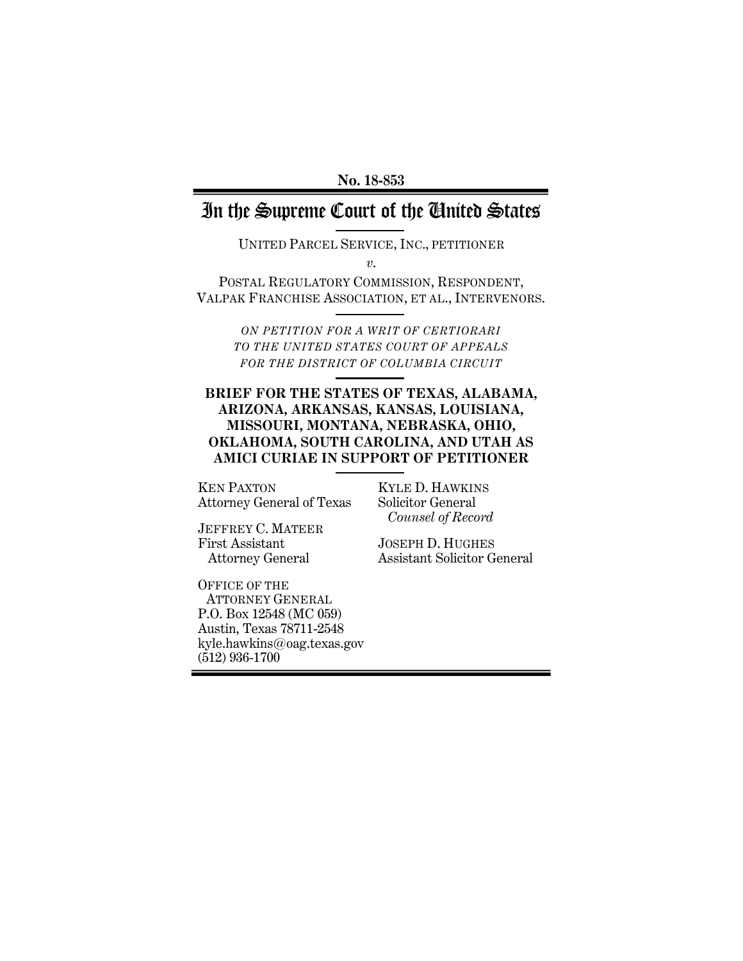**No. 18-853**

# In the Supreme Court of the United States

UNITED PARCEL SERVICE, INC., PETITIONER

*v*.

POSTAL REGULATORY COMMISSION, RESPONDENT, VALPAK FRANCHISE ASSOCIATION, ET AL., INTERVENORS.

> *ON PETITION FOR A WRIT OF CERTIORARI TO THE UNITED STATES COURT OF APPEALS FOR THE DISTRICT OF COLUMBIA CIRCUIT*

## **BRIEF FOR THE STATES OF TEXAS, ALABAMA, ARIZONA, ARKANSAS, KANSAS, LOUISIANA, MISSOURI, MONTANA, NEBRASKA, OHIO, OKLAHOMA, SOUTH CAROLINA, AND UTAH AS AMICI CURIAE IN SUPPORT OF PETITIONER**

KEN PAXTON Attorney General of Texas KYLE D. HAWKINS Solicitor General  *Counsel of Record*

JEFFREY C. MATEER First Assistant Attorney General

OFFICE OF THE ATTORNEY GENERAL P.O. Box 12548 (MC 059) Austin, Texas 78711-2548 kyle.hawkins@oag.texas.gov (512) 936-1700

JOSEPH D. HUGHES Assistant Solicitor General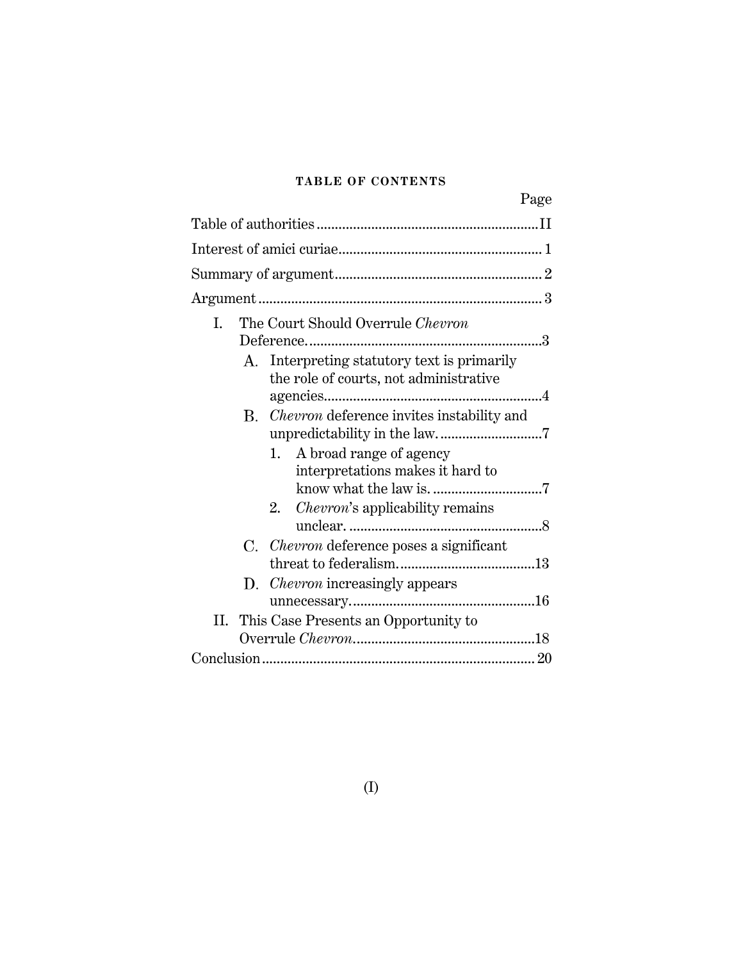# **TABLE OF CONTENTS**

|                                                                                       | Page |
|---------------------------------------------------------------------------------------|------|
|                                                                                       |      |
|                                                                                       |      |
|                                                                                       |      |
|                                                                                       |      |
| The Court Should Overrule Chevron<br>I.                                               |      |
| A. Interpreting statutory text is primarily<br>the role of courts, not administrative |      |
| <i>Chevron</i> deference invites instability and<br>B.<br>1. A broad range of agency  |      |
| interpretations makes it hard to                                                      |      |
| 2. <i>Chevron's</i> applicability remains                                             |      |
| C. <i>Chevron</i> deference poses a significant                                       |      |
| D. Chevron increasingly appears                                                       |      |
| This Case Presents an Opportunity to<br>Н.                                            |      |
|                                                                                       |      |
|                                                                                       |      |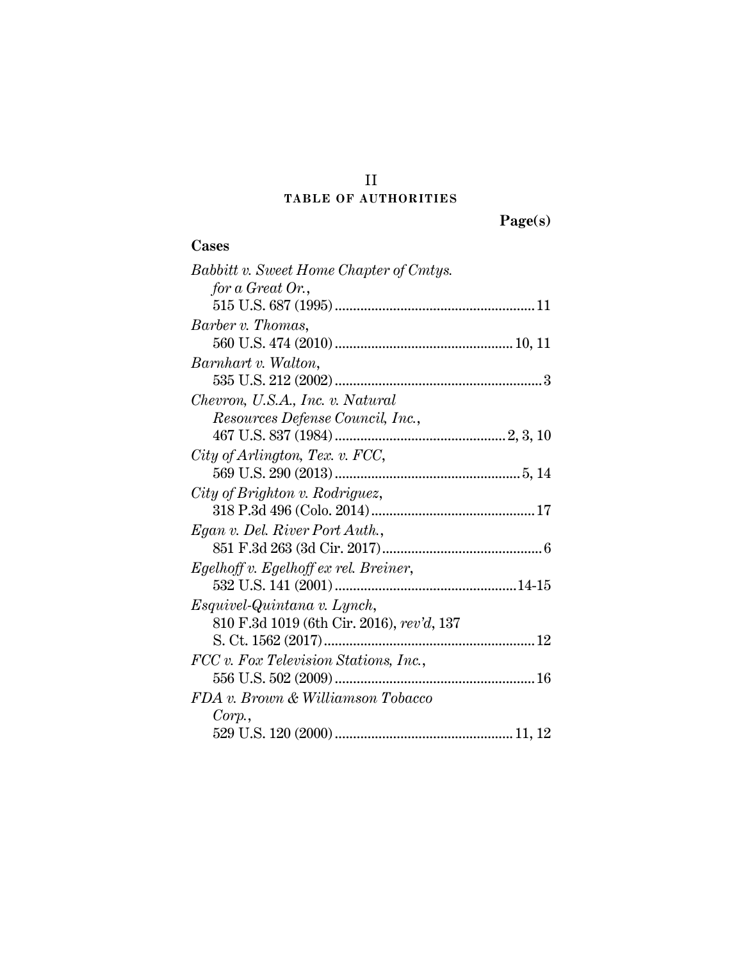# II **TABLE OF AUTHORITIES**

| ` <i>g</i> `6( |  |
|----------------|--|

# **Cases**

| Babbitt v. Sweet Home Chapter of Cmtys.   |  |
|-------------------------------------------|--|
| for a Great Or.,                          |  |
|                                           |  |
| Barber v. Thomas,                         |  |
|                                           |  |
| Barnhart v. Walton,                       |  |
|                                           |  |
| Chevron, U.S.A., Inc. v. Natural          |  |
| Resources Defense Council, Inc.,          |  |
|                                           |  |
| City of Arlington, Tex. v. FCC,           |  |
|                                           |  |
| City of Brighton v. Rodriguez,            |  |
|                                           |  |
| Egan v. Del. River Port Auth.,            |  |
|                                           |  |
| Egelhoff v. Egelhoff ex rel. Breiner,     |  |
|                                           |  |
| Esquivel-Quintana v. Lynch,               |  |
| 810 F.3d 1019 (6th Cir. 2016), rev'd, 137 |  |
| S. Ct. 1562 (2017)                        |  |
| FCC v. Fox Television Stations, Inc.,     |  |
|                                           |  |
| FDA v. Brown & Williamson Tobacco         |  |
| Corp.                                     |  |
|                                           |  |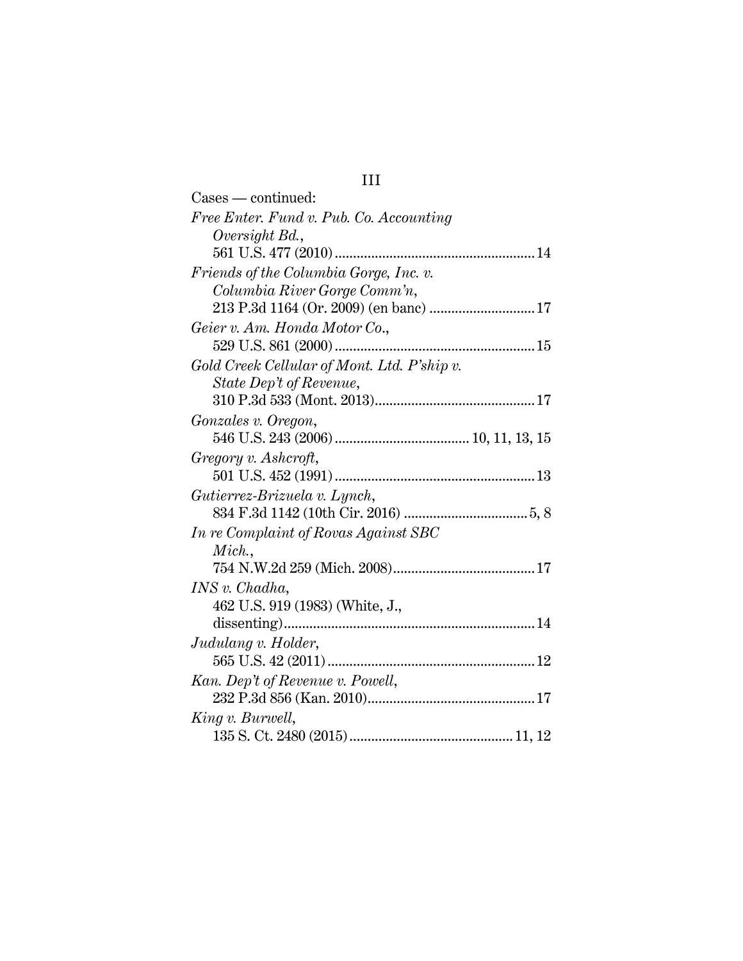# III *Free Enter. Fund v. Pub. Co. Accounting*

Cases — continued:

| $\cdots$ $\cdots$                           |
|---------------------------------------------|
| Oversight Bd.,                              |
|                                             |
| Friends of the Columbia Gorge, Inc. v.      |
| Columbia River Gorge Comm'n,                |
| 213 P.3d 1164 (Or. 2009) (en banc)  17      |
| Geier v. Am. Honda Motor Co.,               |
|                                             |
| Gold Creek Cellular of Mont. Ltd. P'ship v. |
| State Dep't of Revenue,                     |
|                                             |
| Gonzales v. Oregon,                         |
|                                             |
| Gregory v. Ashcroft,                        |
|                                             |
| Gutierrez-Brizuela v. Lynch,                |
|                                             |
| In re Complaint of Rovas Against SBC        |
| Mich.,                                      |
|                                             |
| INS v. Chadha,                              |
| 462 U.S. 919 (1983) (White, J.,             |
|                                             |
| Judulang v. Holder,                         |
|                                             |
| Kan. Dep't of Revenue v. Powell,            |
|                                             |
|                                             |
| King v. Burwell,                            |
|                                             |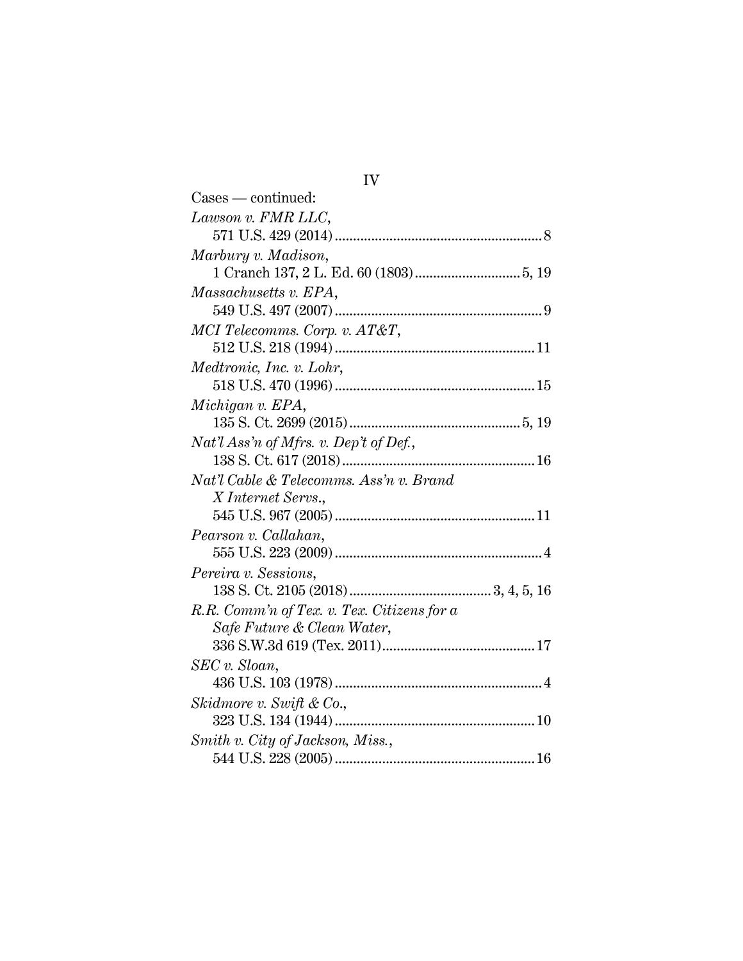| 1 V                                        |  |
|--------------------------------------------|--|
| $\text{Case} - \text{continued}$ :         |  |
| Lawson v. FMR LLC,                         |  |
|                                            |  |
| Marbury v. Madison,                        |  |
|                                            |  |
| Massachusetts v. EPA,                      |  |
|                                            |  |
| MCI Telecomms. Corp. v. AT&T,              |  |
|                                            |  |
| Medtronic, Inc. v. Lohr,                   |  |
|                                            |  |
| Michigan v. EPA,                           |  |
|                                            |  |
| $Nat'l$ Ass'n of Mfrs. v. Dep't of Def.,   |  |
|                                            |  |
| Nat'l Cable & Telecomms. Ass'n v. Brand    |  |
| X Internet Servs.,                         |  |
|                                            |  |
| Pearson v. Callahan,                       |  |
|                                            |  |
| Pereira v. Sessions,                       |  |
|                                            |  |
| R.R. Comm'n of Tex. v. Tex. Citizens for a |  |
| Safe Future & Clean Water,                 |  |
|                                            |  |
| $SEC v. \,S loan,$                         |  |
|                                            |  |
| Skidmore v. Swift & Co.,                   |  |
|                                            |  |
| Smith v. City of Jackson, Miss.,           |  |
|                                            |  |

IV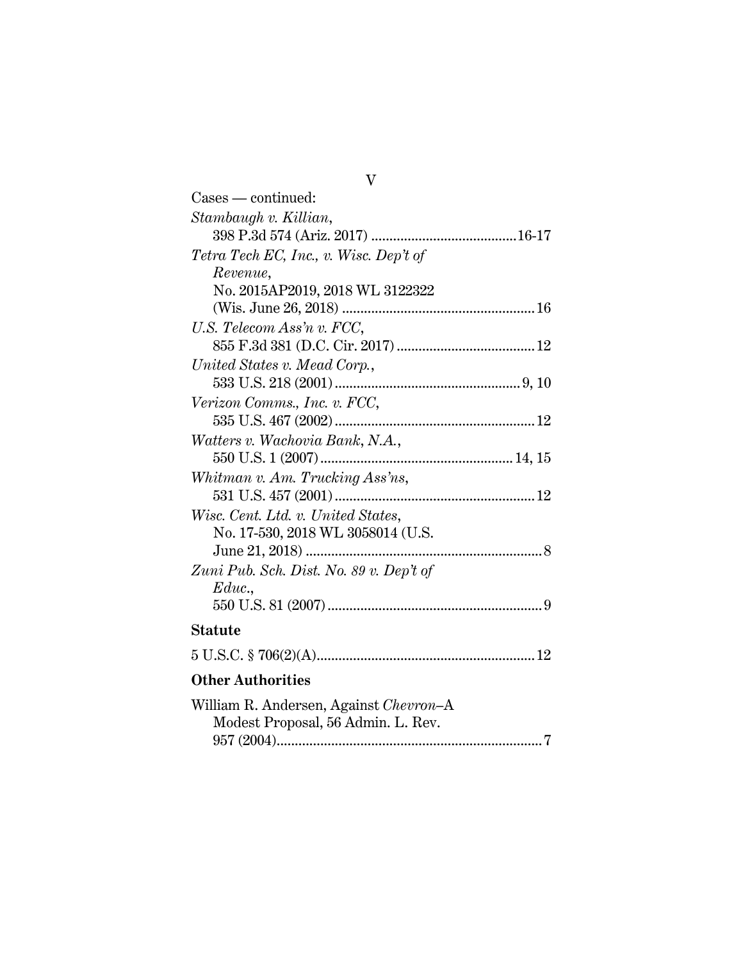| $\text{Case} - \text{continued}$ :      |
|-----------------------------------------|
| Stambaugh v. Killian,                   |
|                                         |
| Tetra Tech EC, Inc., v. Wisc. Dep't of  |
| Revenue,                                |
| No. 2015AP2019, 2018 WL 3122322         |
|                                         |
| U.S. Telecom Ass'n v. FCC,              |
|                                         |
| United States v. Mead Corp.,            |
|                                         |
| Verizon Comms., Inc. v. FCC,            |
|                                         |
| Watters v. Wachovia Bank, N.A.,         |
|                                         |
| Whitman v. Am. Trucking Ass'ns,         |
|                                         |
| Wisc. Cent. Ltd. v. United States,      |
| No. 17-530, 2018 WL 3058014 (U.S.       |
|                                         |
| Zuni Pub. Sch. Dist. No. 89 v. Dep't of |
| Educ.                                   |
|                                         |
| <b>Statute</b>                          |
|                                         |
| <b>Other Authorities</b>                |
| William R. Andersen, Against Chevron-A  |
| Modest Proposal, 56 Admin. L. Rev.      |
|                                         |

V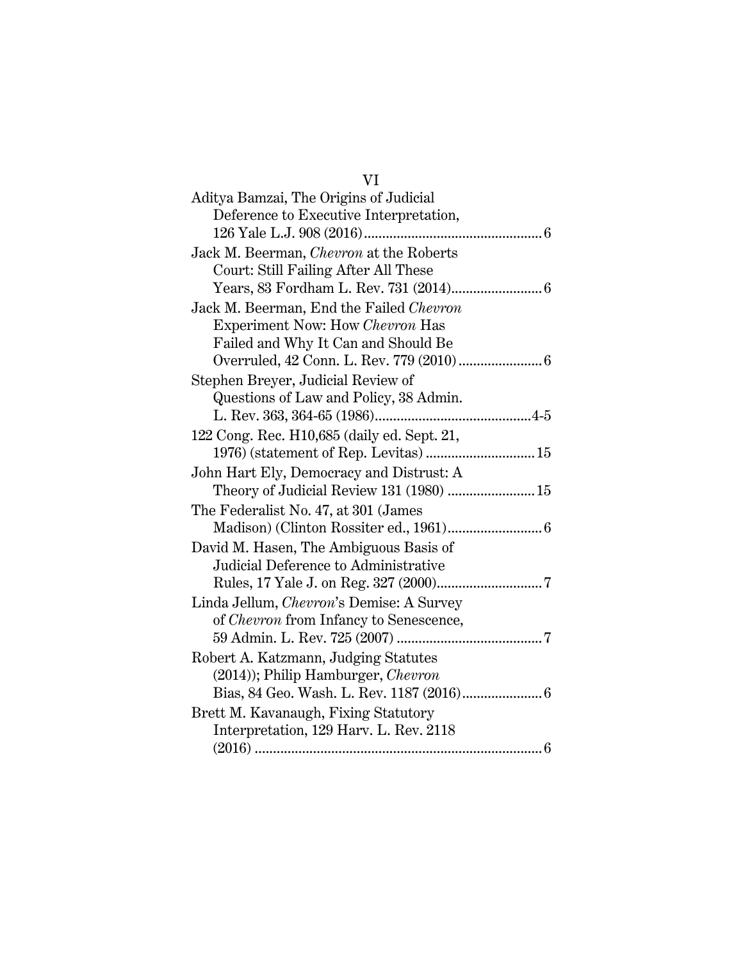# VI

| Aditya Bamzai, The Origins of Judicial           |  |
|--------------------------------------------------|--|
| Deference to Executive Interpretation,           |  |
|                                                  |  |
| Jack M. Beerman, <i>Chevron</i> at the Roberts   |  |
| Court: Still Failing After All These             |  |
|                                                  |  |
| Jack M. Beerman, End the Failed Chevron          |  |
| Experiment Now: How Chevron Has                  |  |
| Failed and Why It Can and Should Be              |  |
|                                                  |  |
| Stephen Breyer, Judicial Review of               |  |
| Questions of Law and Policy, 38 Admin.           |  |
|                                                  |  |
| 122 Cong. Rec. H10,685 (daily ed. Sept. 21,      |  |
| 1976) (statement of Rep. Levitas)  15            |  |
| John Hart Ely, Democracy and Distrust: A         |  |
| Theory of Judicial Review 131 (1980)  15         |  |
| The Federalist No. 47, at 301 (James             |  |
|                                                  |  |
| David M. Hasen, The Ambiguous Basis of           |  |
| Judicial Deference to Administrative             |  |
|                                                  |  |
| Linda Jellum, <i>Chevron</i> 's Demise: A Survey |  |
| of <i>Chevron</i> from Infancy to Senescence,    |  |
|                                                  |  |
| Robert A. Katzmann, Judging Statutes             |  |
| (2014)); Philip Hamburger, Chevron               |  |
|                                                  |  |
| Brett M. Kavanaugh, Fixing Statutory             |  |
| Interpretation, 129 Harv. L. Rev. 2118           |  |
|                                                  |  |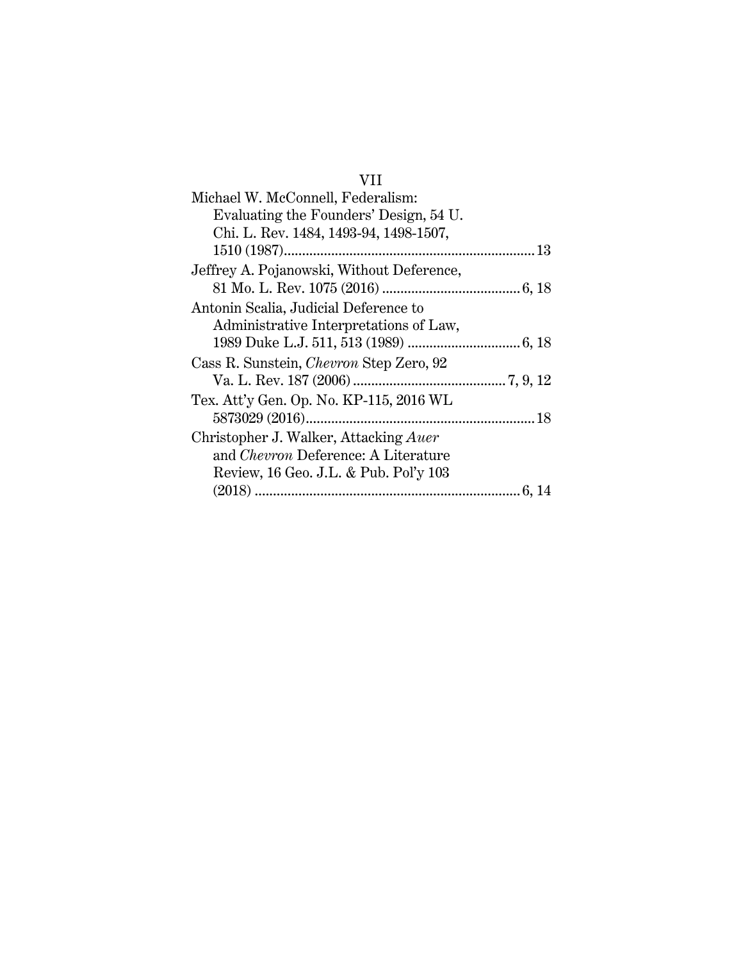# VII

| Michael W. McConnell, Federalism:              |
|------------------------------------------------|
| Evaluating the Founders' Design, 54 U.         |
| Chi. L. Rev. 1484, 1493-94, 1498-1507,         |
|                                                |
| Jeffrey A. Pojanowski, Without Deference,      |
|                                                |
| Antonin Scalia, Judicial Deference to          |
| Administrative Interpretations of Law,         |
|                                                |
| Cass R. Sunstein, <i>Chevron</i> Step Zero, 92 |
|                                                |
| Tex. Att'y Gen. Op. No. KP-115, 2016 WL        |
|                                                |
| Christopher J. Walker, Attacking Auer          |
| and <i>Chevron</i> Deference: A Literature     |
| Review, 16 Geo. J.L. & Pub. Pol'y 103          |
|                                                |
|                                                |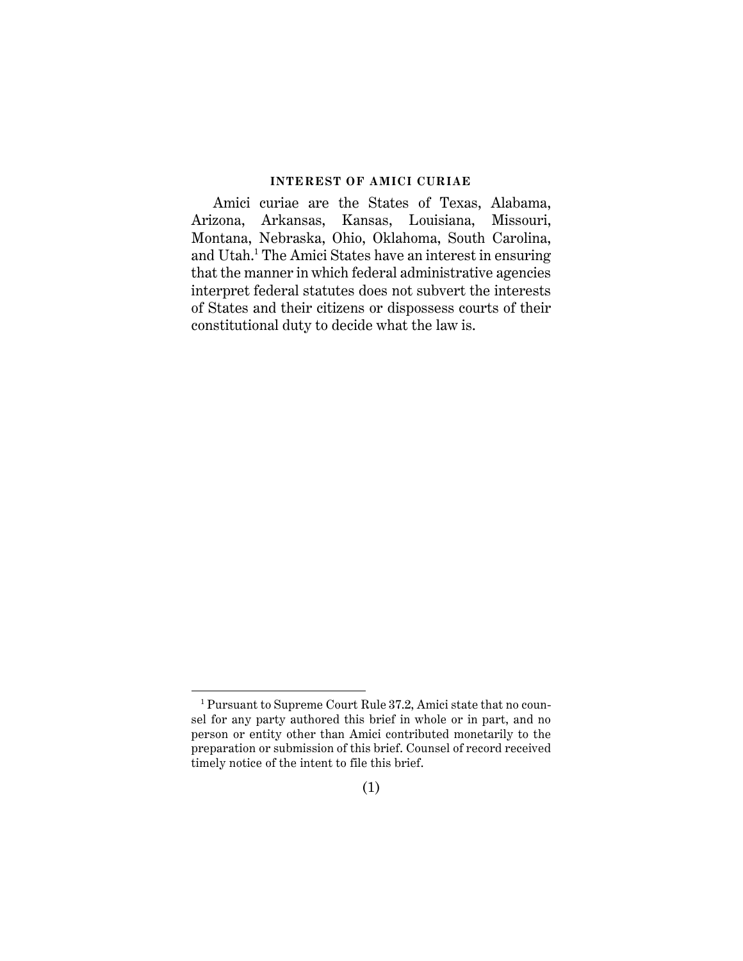#### **INTEREST OF AMICI CURIAE**

Amici curiae are the States of Texas, Alabama, Arizona, Arkansas, Kansas, Louisiana, Missouri, Montana, Nebraska, Ohio, Oklahoma, South Carolina, and Utah. <sup>1</sup> The Amici States have an interest in ensuring that the manner in which federal administrative agencies interpret federal statutes does not subvert the interests of States and their citizens or dispossess courts of their constitutional duty to decide what the law is.

l

<sup>1</sup> Pursuant to Supreme Court Rule 37.2, Amici state that no counsel for any party authored this brief in whole or in part, and no person or entity other than Amici contributed monetarily to the preparation or submission of this brief. Counsel of record received timely notice of the intent to file this brief.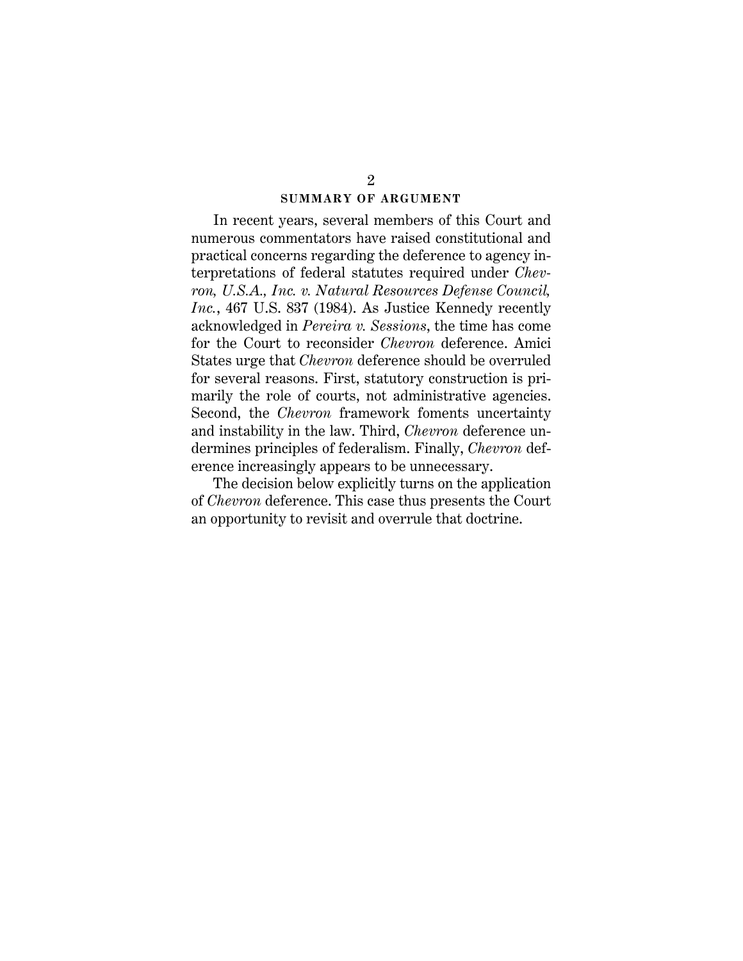#### <span id="page-9-0"></span>**SUMMARY OF ARGUMENT**

In recent years, several members of this Court and numerous commentators have raised constitutional and practical concerns regarding the deference to agency interpretations of federal statutes required under *Chevron, U.S.A., Inc. v. Natural Resources Defense Council, Inc.*, 467 U.S. 837 (1984). As Justice Kennedy recently acknowledged in *Pereira v. Sessions*, the time has come for the Court to reconsider *Chevron* deference. Amici States urge that *Chevron* deference should be overruled for several reasons. First, statutory construction is primarily the role of courts, not administrative agencies. Second, the *Chevron* framework foments uncertainty and instability in the law. Third, *Chevron* deference undermines principles of federalism. Finally, *Chevron* deference increasingly appears to be unnecessary.

The decision below explicitly turns on the application of *Chevron* deference. This case thus presents the Court an opportunity to revisit and overrule that doctrine.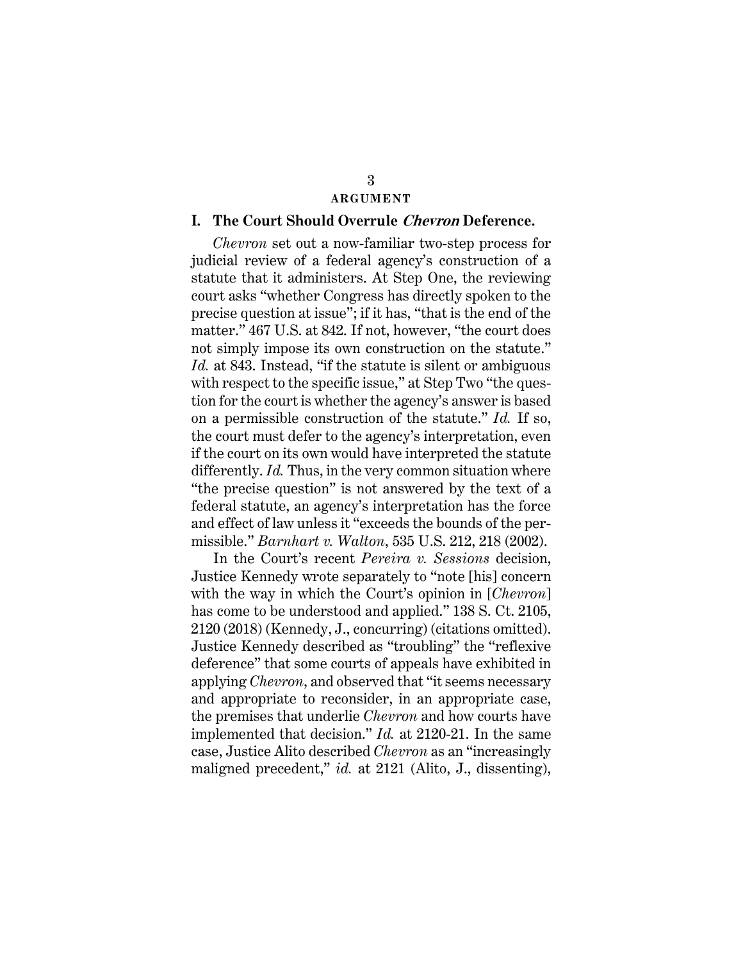#### **ARGUMENT**

#### **I. The Court Should Overrule Chevron Deference.**

<span id="page-10-1"></span>*Chevron* set out a now-familiar two-step process for judicial review of a federal agency's construction of a statute that it administers. At Step One, the reviewing court asks "whether Congress has directly spoken to the precise question at issue"; if it has, "that is the end of the matter." 467 U.S. at 842. If not, however, "the court does not simply impose its own construction on the statute." *Id.* at 843. Instead, "if the statute is silent or ambiguous with respect to the specific issue," at Step Two "the question for the court is whether the agency's answer is based on a permissible construction of the statute." *Id.* If so, the court must defer to the agency's interpretation, even if the court on its own would have interpreted the statute differently. *Id.* Thus, in the very common situation where "the precise question" is not answered by the text of a federal statute, an agency's interpretation has the force and effect of law unless it "exceeds the bounds of the permissible." *Barnhart v. Walton*, 535 U.S. 212, 218 (2002).

<span id="page-10-2"></span><span id="page-10-0"></span>In the Court's recent *Pereira v. Sessions* decision, Justice Kennedy wrote separately to "note [his] concern with the way in which the Court's opinion in [*Chevron*] has come to be understood and applied." 138 S. Ct. 2105, 2120 (2018) (Kennedy, J., concurring) (citations omitted). Justice Kennedy described as "troubling" the "reflexive deference" that some courts of appeals have exhibited in applying *Chevron*, and observed that "it seems necessary and appropriate to reconsider, in an appropriate case, the premises that underlie *Chevron* and how courts have implemented that decision." *Id.* at 2120-21. In the same case, Justice Alito described *Chevron* as an "increasingly maligned precedent," *id.* at 2121 (Alito, J., dissenting),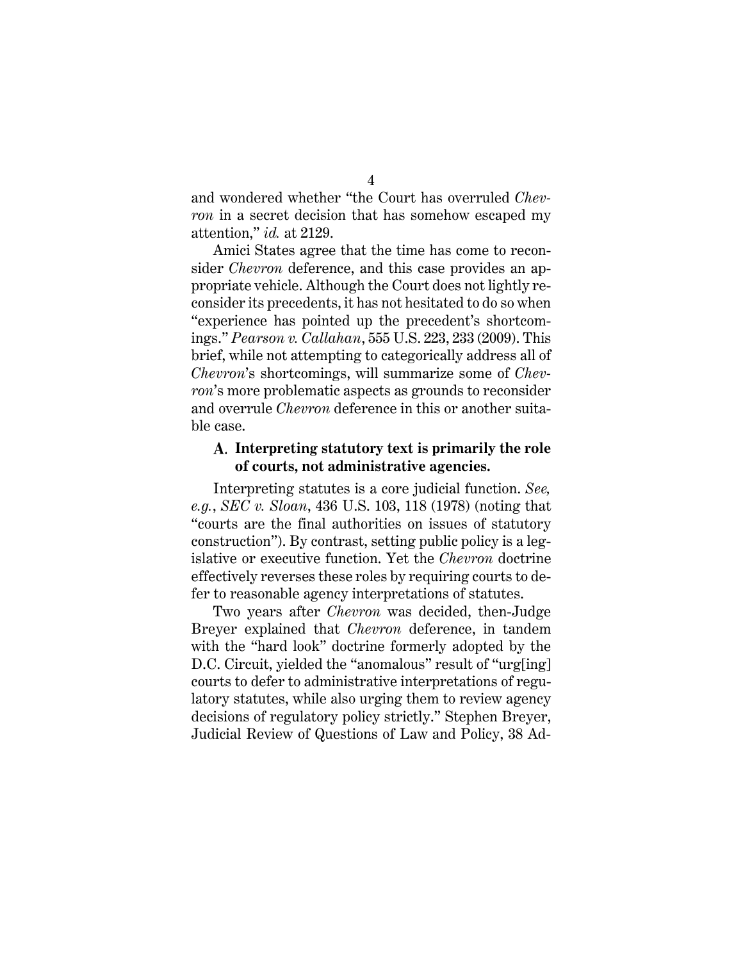and wondered whether "the Court has overruled *Chevron* in a secret decision that has somehow escaped my attention," *id.* at 2129.

<span id="page-11-1"></span><span id="page-11-0"></span>Amici States agree that the time has come to reconsider *Chevron* deference, and this case provides an appropriate vehicle. Although the Court does not lightly reconsider its precedents, it has not hesitated to do so when "experience has pointed up the precedent's shortcomings." *Pearson v. Callahan*, 555 U.S. 223, 233 (2009). This brief, while not attempting to categorically address all of *Chevron*'s shortcomings, will summarize some of *Chevron*'s more problematic aspects as grounds to reconsider and overrule *Chevron* deference in this or another suitable case.

# **Interpreting statutory text is primarily the role of courts, not administrative agencies.**

<span id="page-11-2"></span>Interpreting statutes is a core judicial function. *See, e.g.*, *SEC v. Sloan*, 436 U.S. 103, 118 (1978) (noting that "courts are the final authorities on issues of statutory construction"). By contrast, setting public policy is a legislative or executive function. Yet the *Chevron* doctrine effectively reverses these roles by requiring courts to defer to reasonable agency interpretations of statutes.

<span id="page-11-3"></span>Two years after *Chevron* was decided, then-Judge Breyer explained that *Chevron* deference, in tandem with the "hard look" doctrine formerly adopted by the D.C. Circuit, yielded the "anomalous" result of "urg[ing] courts to defer to administrative interpretations of regulatory statutes, while also urging them to review agency decisions of regulatory policy strictly." Stephen Breyer, Judicial Review of Questions of Law and Policy, 38 Ad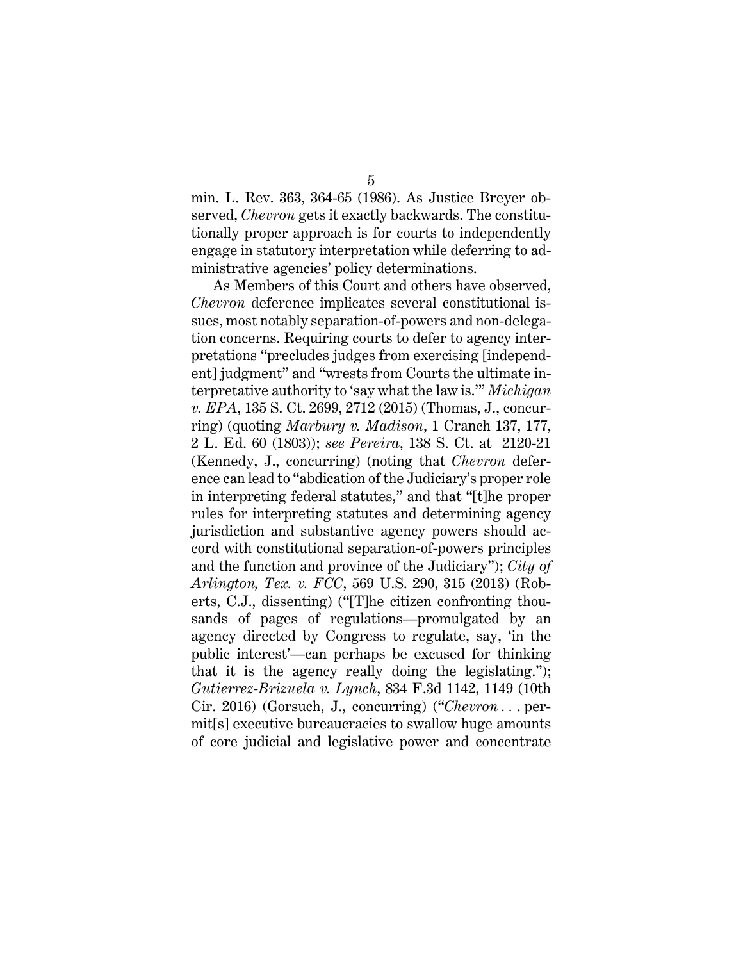min. L. Rev. 363, 364-65 (1986). As Justice Breyer observed, *Chevron* gets it exactly backwards. The constitutionally proper approach is for courts to independently engage in statutory interpretation while deferring to administrative agencies' policy determinations.

<span id="page-12-4"></span><span id="page-12-3"></span><span id="page-12-2"></span><span id="page-12-1"></span><span id="page-12-0"></span>As Members of this Court and others have observed, *Chevron* deference implicates several constitutional issues, most notably separation-of-powers and non-delegation concerns. Requiring courts to defer to agency interpretations "precludes judges from exercising [independent] judgment" and "wrests from Courts the ultimate interpretative authority to 'say what the law is.'" *Michigan v. EPA*, 135 S. Ct. 2699, 2712 (2015) (Thomas, J., concurring) (quoting *Marbury v. Madison*, 1 Cranch 137, 177, 2 L. Ed. 60 (1803)); *see Pereira*, 138 S. Ct. at 2120-21 (Kennedy, J., concurring) (noting that *Chevron* deference can lead to "abdication of the Judiciary's proper role in interpreting federal statutes," and that "[t]he proper rules for interpreting statutes and determining agency jurisdiction and substantive agency powers should accord with constitutional separation-of-powers principles and the function and province of the Judiciary"); *City of Arlington, Tex. v. FCC*, 569 U.S. 290, 315 (2013) (Roberts, C.J., dissenting) ("[T]he citizen confronting thousands of pages of regulations—promulgated by an agency directed by Congress to regulate, say, 'in the public interest'—can perhaps be excused for thinking that it is the agency really doing the legislating."); *Gutierrez-Brizuela v. Lynch*, 834 F.3d 1142, 1149 (10th Cir. 2016) (Gorsuch, J., concurring) ("*Chevron . .* . permit[s] executive bureaucracies to swallow huge amounts of core judicial and legislative power and concentrate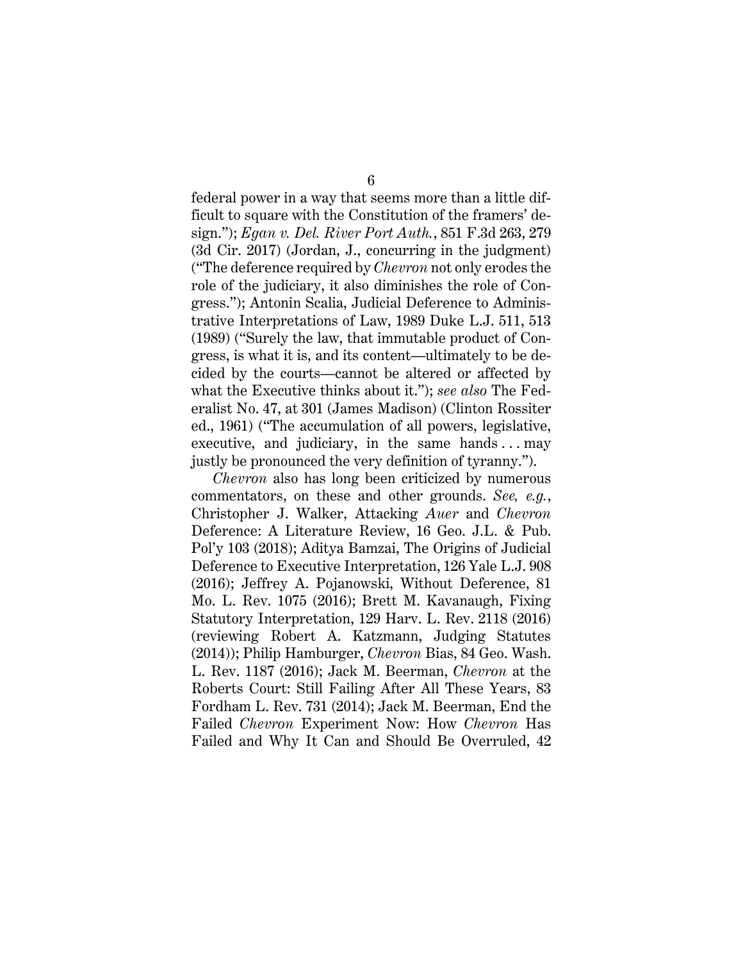<span id="page-13-8"></span><span id="page-13-0"></span>federal power in a way that seems more than a little difficult to square with the Constitution of the framers' design."); *Egan v. Del. River Port Auth.*, 851 F.3d 263, 279 (3d Cir. 2017) (Jordan, J., concurring in the judgment) ("The deference required by *Chevron* not only erodes the role of the judiciary, it also diminishes the role of Congress."); Antonin Scalia, Judicial Deference to Administrative Interpretations of Law, 1989 Duke L.J. 511, 513 (1989) ("Surely the law, that immutable product of Congress, is what it is, and its content—ultimately to be decided by the courts—cannot be altered or affected by what the Executive thinks about it."); *see also* The Federalist No. 47, at 301 (James Madison) (Clinton Rossiter ed., 1961) ("The accumulation of all powers, legislative, executive, and judiciary, in the same hands  $\dots$  may justly be pronounced the very definition of tyranny.").

<span id="page-13-9"></span><span id="page-13-7"></span><span id="page-13-6"></span><span id="page-13-5"></span><span id="page-13-4"></span><span id="page-13-3"></span><span id="page-13-2"></span><span id="page-13-1"></span>*Chevron* also has long been criticized by numerous commentators, on these and other grounds. *See, e.g.*, Christopher J. Walker, Attacking *Auer* and *Chevron* Deference: A Literature Review, 16 Geo. J.L. & Pub. Pol'y 103 (2018); Aditya Bamzai, The Origins of Judicial Deference to Executive Interpretation, 126 Yale L.J. 908 (2016); Jeffrey A. Pojanowski, Without Deference, 81 Mo. L. Rev. 1075 (2016); Brett M. Kavanaugh, Fixing Statutory Interpretation, 129 Harv. L. Rev. 2118 (2016) (reviewing Robert A. Katzmann, Judging Statutes (2014)); Philip Hamburger, *Chevron* Bias, 84 Geo. Wash. L. Rev. 1187 (2016); Jack M. Beerman, *Chevron* at the Roberts Court: Still Failing After All These Years, 83 Fordham L. Rev. 731 (2014); Jack M. Beerman, End the Failed *Chevron* Experiment Now: How *Chevron* Has Failed and Why It Can and Should Be Overruled, 42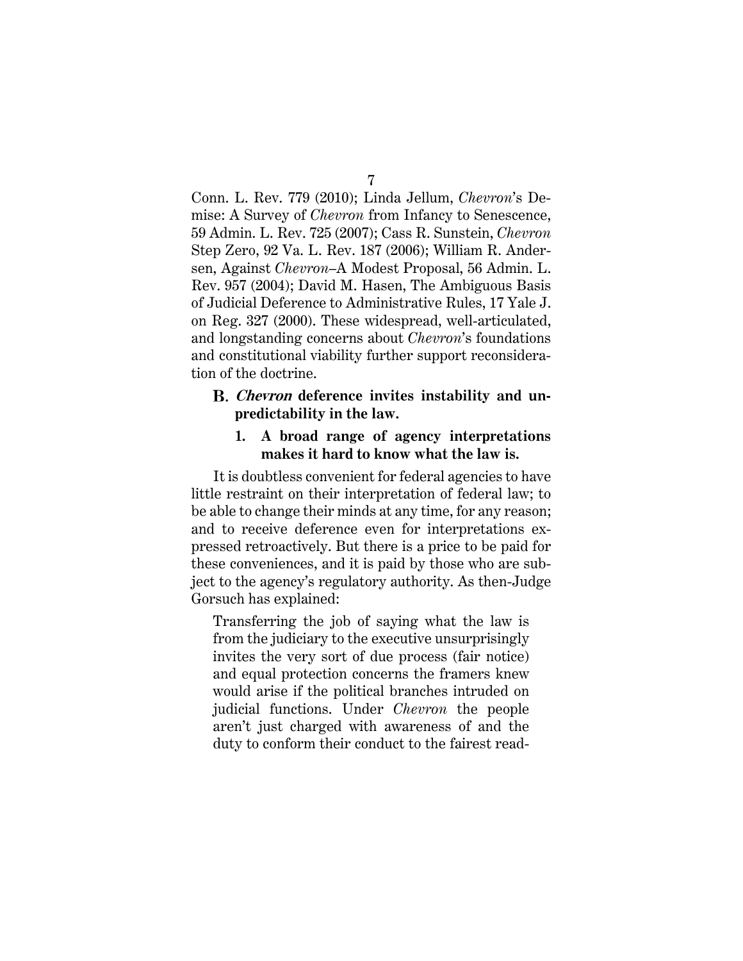<span id="page-14-3"></span><span id="page-14-2"></span><span id="page-14-1"></span><span id="page-14-0"></span>Conn. L. Rev. 779 (2010); Linda Jellum, *Chevron*'s Demise: A Survey of *Chevron* from Infancy to Senescence, 59 Admin. L. Rev. 725 (2007); Cass R. Sunstein, *Chevron* Step Zero, 92 Va. L. Rev. 187 (2006); William R. Andersen, Against *Chevron*–A Modest Proposal, 56 Admin. L. Rev. 957 (2004); David M. Hasen, The Ambiguous Basis of Judicial Deference to Administrative Rules, 17 Yale J. on Reg. 327 (2000). These widespread, well-articulated, and longstanding concerns about *Chevron*'s foundations and constitutional viability further support reconsideration of the doctrine.

# **Chevron deference invites instability and unpredictability in the law.**

### **1. A broad range of agency interpretations makes it hard to know what the law is.**

It is doubtless convenient for federal agencies to have little restraint on their interpretation of federal law; to be able to change their minds at any time, for any reason; and to receive deference even for interpretations expressed retroactively. But there is a price to be paid for these conveniences, and it is paid by those who are subject to the agency's regulatory authority. As then-Judge Gorsuch has explained:

Transferring the job of saying what the law is from the judiciary to the executive unsurprisingly invites the very sort of due process (fair notice) and equal protection concerns the framers knew would arise if the political branches intruded on judicial functions. Under *Chevron* the people aren't just charged with awareness of and the duty to conform their conduct to the fairest read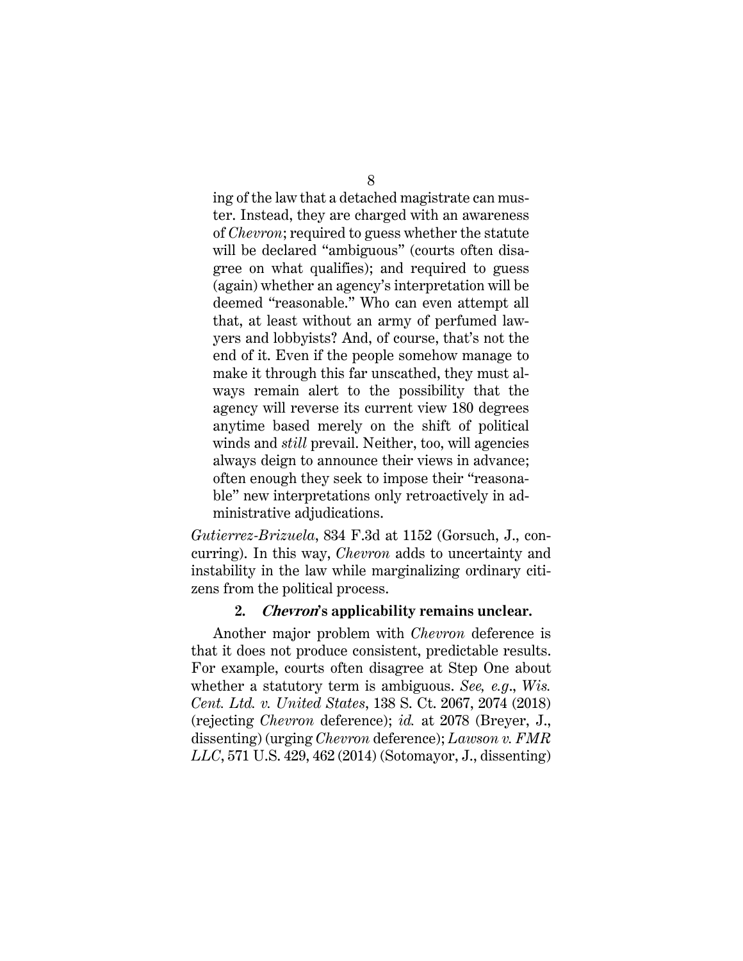ing of the law that a detached magistrate can muster. Instead, they are charged with an awareness of *Chevron*; required to guess whether the statute will be declared "ambiguous" (courts often disagree on what qualifies); and required to guess (again) whether an agency's interpretation will be deemed "reasonable." Who can even attempt all that, at least without an army of perfumed lawyers and lobbyists? And, of course, that's not the end of it. Even if the people somehow manage to make it through this far unscathed, they must always remain alert to the possibility that the agency will reverse its current view 180 degrees anytime based merely on the shift of political winds and *still* prevail. Neither, too, will agencies always deign to announce their views in advance; often enough they seek to impose their "reasonable" new interpretations only retroactively in administrative adjudications.

<span id="page-15-0"></span>*Gutierrez-Brizuela*, 834 F.3d at 1152 (Gorsuch, J., concurring). In this way, *Chevron* adds to uncertainty and instability in the law while marginalizing ordinary citizens from the political process.

#### <span id="page-15-2"></span><span id="page-15-1"></span>**2. Chevron's applicability remains unclear.**

Another major problem with *Chevron* deference is that it does not produce consistent, predictable results. For example, courts often disagree at Step One about whether a statutory term is ambiguous. *See, e.g*., *Wis. Cent. Ltd. v. United States*, 138 S. Ct. 2067, 2074 (2018) (rejecting *Chevron* deference); *id.* at 2078 (Breyer, J., dissenting) (urging *Chevron* deference); *Lawson v. FMR LLC*, 571 U.S. 429, 462 (2014) (Sotomayor, J., dissenting)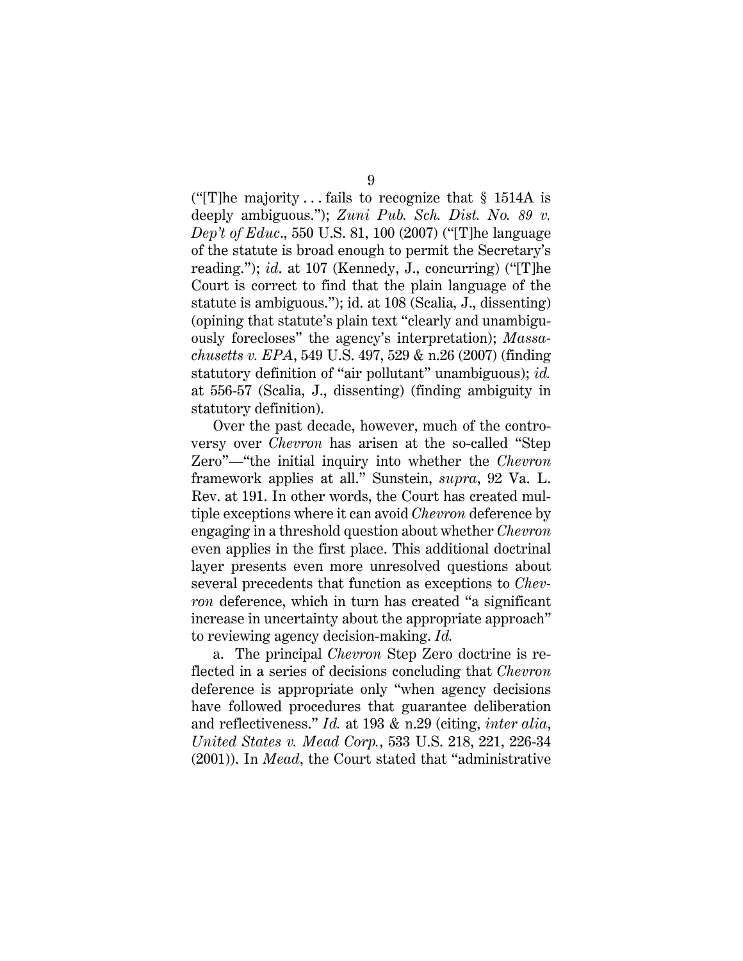<span id="page-16-2"></span>("[T]he majority ... fails to recognize that  $\S$  1514A is deeply ambiguous."); *Zuni Pub. Sch. Dist. No. 89 v. Dep't of Educ*., 550 U.S. 81, 100 (2007) ("[T]he language of the statute is broad enough to permit the Secretary's reading."); *id*. at 107 (Kennedy, J., concurring) ("[T]he Court is correct to find that the plain language of the statute is ambiguous."); id. at 108 (Scalia, J., dissenting) (opining that statute's plain text "clearly and unambiguously forecloses" the agency's interpretation); *Massachusetts v. EPA*, 549 U.S. 497, 529 & n.26 (2007) (finding statutory definition of "air pollutant" unambiguous); *id.* at 556-57 (Scalia, J., dissenting) (finding ambiguity in statutory definition).

<span id="page-16-3"></span><span id="page-16-0"></span>Over the past decade, however, much of the controversy over *Chevron* has arisen at the so-called "Step Zero"—"the initial inquiry into whether the *Chevron* framework applies at all." Sunstein, *supra*, 92 Va. L. Rev. at 191. In other words, the Court has created multiple exceptions where it can avoid *Chevron* deference by engaging in a threshold question about whether *Chevron* even applies in the first place. This additional doctrinal layer presents even more unresolved questions about several precedents that function as exceptions to *Chevron* deference, which in turn has created "a significant increase in uncertainty about the appropriate approach" to reviewing agency decision-making. *Id.*

<span id="page-16-1"></span>a. The principal *Chevron* Step Zero doctrine is reflected in a series of decisions concluding that *Chevron* deference is appropriate only "when agency decisions have followed procedures that guarantee deliberation and reflectiveness." *Id.* at 193 & n.29 (citing, *inter alia*, *United States v. Mead Corp.*, 533 U.S. 218, 221, 226-34 (2001)). In *Mead*, the Court stated that "administrative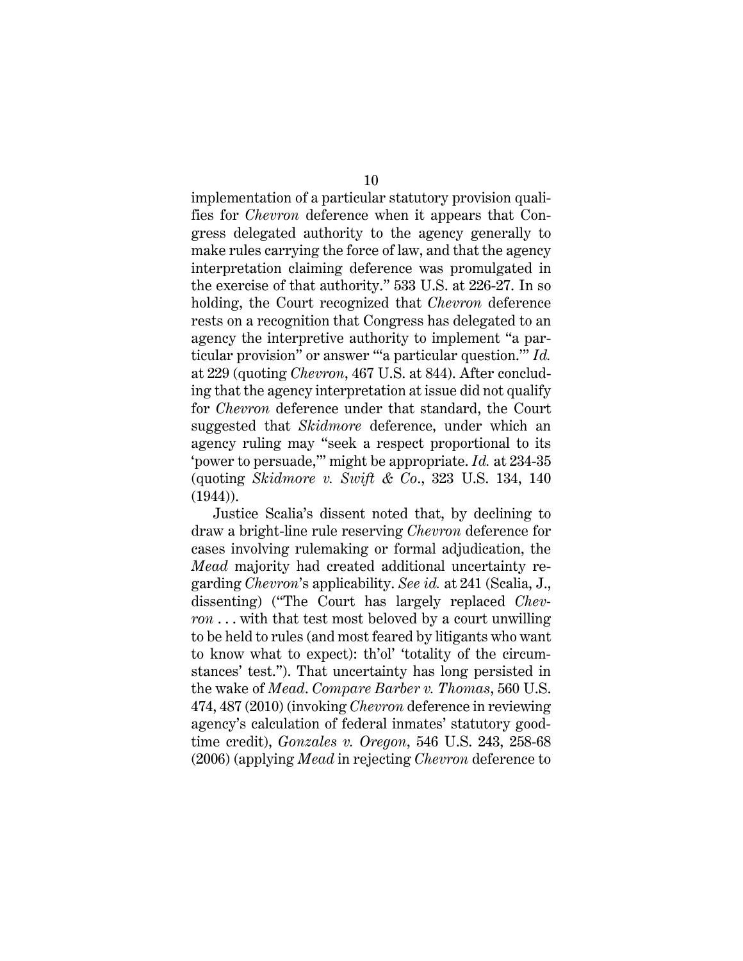<span id="page-17-4"></span>implementation of a particular statutory provision qualifies for *Chevron* deference when it appears that Congress delegated authority to the agency generally to make rules carrying the force of law, and that the agency interpretation claiming deference was promulgated in the exercise of that authority." 533 U.S. at 226-27. In so holding, the Court recognized that *Chevron* deference rests on a recognition that Congress has delegated to an agency the interpretive authority to implement "a particular provision" or answer "'a particular question.'" *Id.* at 229 (quoting *Chevron*, 467 U.S. at 844). After concluding that the agency interpretation at issue did not qualify for *Chevron* deference under that standard, the Court suggested that *Skidmore* deference, under which an agency ruling may "seek a respect proportional to its 'power to persuade,'" might be appropriate. *Id.* at 234-35 (quoting *Skidmore v. Swift & Co*., 323 U.S. 134, 140 (1944)).

<span id="page-17-3"></span><span id="page-17-2"></span><span id="page-17-1"></span><span id="page-17-0"></span>Justice Scalia's dissent noted that, by declining to draw a bright-line rule reserving *Chevron* deference for cases involving rulemaking or formal adjudication, the *Mead* majority had created additional uncertainty regarding *Chevron*'s applicability. *See id.* at 241 (Scalia, J., dissenting) ("The Court has largely replaced *Chevron* . . . with that test most beloved by a court unwilling to be held to rules (and most feared by litigants who want to know what to expect): th'ol' 'totality of the circumstances' test."). That uncertainty has long persisted in the wake of *Mead*. *Compare Barber v. Thomas*, 560 U.S. 474, 487 (2010) (invoking *Chevron* deference in reviewing agency's calculation of federal inmates' statutory goodtime credit), *Gonzales v. Oregon*, 546 U.S. 243, 258-68 (2006) (applying *Mead* in rejecting *Chevron* deference to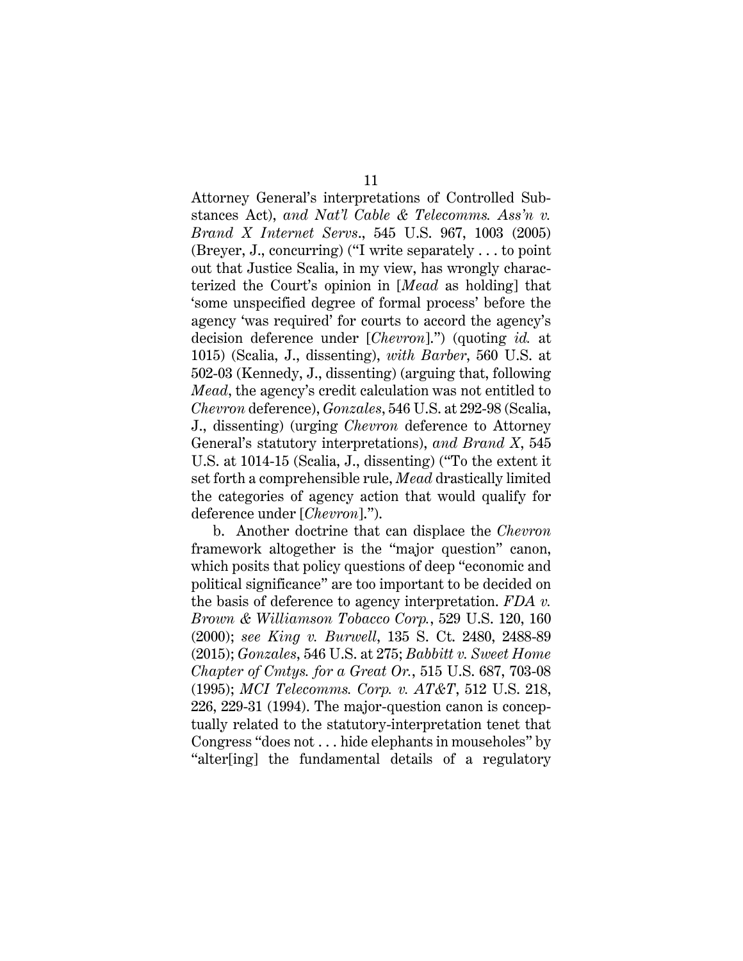<span id="page-18-6"></span><span id="page-18-1"></span>Attorney General's interpretations of Controlled Substances Act), *and Nat'l Cable & Telecomms. Ass'n v. Brand X Internet Servs*., 545 U.S. 967, 1003 (2005) (Breyer, J., concurring) ("I write separately . . . to point out that Justice Scalia, in my view, has wrongly characterized the Court's opinion in [*Mead* as holding] that 'some unspecified degree of formal process' before the agency 'was required' for courts to accord the agency's decision deference under [*Chevron*].") (quoting *id.* at 1015) (Scalia, J., dissenting), *with Barber*, 560 U.S. at 502-03 (Kennedy, J., dissenting) (arguing that, following *Mead*, the agency's credit calculation was not entitled to *Chevron* deference), *Gonzales*, 546 U.S. at 292-98 (Scalia, J., dissenting) (urging *Chevron* deference to Attorney General's statutory interpretations), *and Brand X*, 545 U.S. at 1014-15 (Scalia, J., dissenting) ("To the extent it set forth a comprehensible rule, *Mead* drastically limited the categories of agency action that would qualify for deference under [*Chevron*].").

<span id="page-18-5"></span><span id="page-18-4"></span><span id="page-18-3"></span><span id="page-18-2"></span><span id="page-18-0"></span>b. Another doctrine that can displace the *Chevron* framework altogether is the "major question" canon, which posits that policy questions of deep "economic and political significance" are too important to be decided on the basis of deference to agency interpretation. *FDA v. Brown & Williamson Tobacco Corp.*, 529 U.S. 120, 160 (2000); *see King v. Burwell*, 135 S. Ct. 2480, 2488-89 (2015); *Gonzales*, 546 U.S. at 275; *Babbitt v. Sweet Home Chapter of Cmtys. for a Great Or.*, 515 U.S. 687, 703-08 (1995); *MCI Telecomms. Corp. v. AT&T*, 512 U.S. 218, 226, 229-31 (1994). The major-question canon is conceptually related to the statutory-interpretation tenet that Congress "does not . . . hide elephants in mouseholes" by "alter[ing] the fundamental details of a regulatory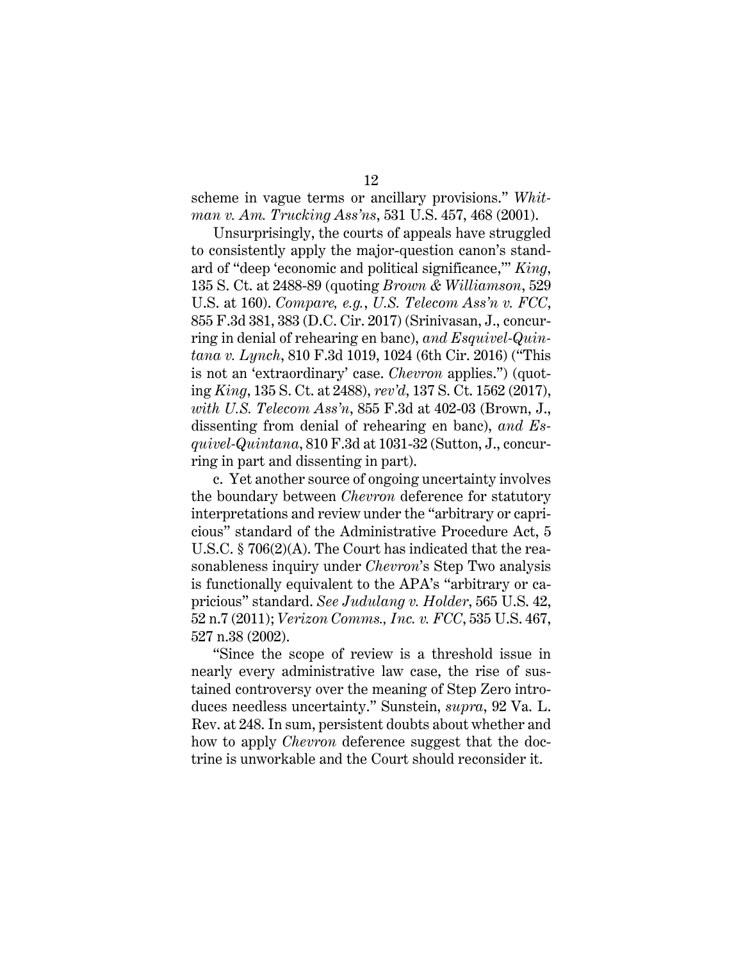<span id="page-19-6"></span>scheme in vague terms or ancillary provisions." *Whitman v. Am. Trucking Ass'ns*, 531 U.S. 457, 468 (2001).

<span id="page-19-4"></span><span id="page-19-3"></span><span id="page-19-1"></span><span id="page-19-0"></span>Unsurprisingly, the courts of appeals have struggled to consistently apply the major-question canon's standard of "deep 'economic and political significance,'" *King*, 135 S. Ct. at 2488-89 (quoting *Brown & Williamson*, 529 U.S. at 160). *Compare, e.g.*, *U.S. Telecom Ass'n v. FCC*, 855 F.3d 381, 383 (D.C. Cir. 2017) (Srinivasan, J., concurring in denial of rehearing en banc), *and Esquivel-Quintana v. Lynch*, 810 F.3d 1019, 1024 (6th Cir. 2016) ("This is not an 'extraordinary' case. *Chevron* applies.") (quoting *King*, 135 S. Ct. at 2488), *rev'd*, 137 S. Ct. 1562 (2017), *with U.S. Telecom Ass'n*, 855 F.3d at 402-03 (Brown, J., dissenting from denial of rehearing en banc), *and Esquivel-Quintana*, 810 F.3d at 1031-32 (Sutton, J., concurring in part and dissenting in part).

<span id="page-19-7"></span>c. Yet another source of ongoing uncertainty involves the boundary between *Chevron* deference for statutory interpretations and review under the "arbitrary or capricious" standard of the Administrative Procedure Act, 5 U.S.C. § 706(2)(A). The Court has indicated that the reasonableness inquiry under *Chevron*'s Step Two analysis is functionally equivalent to the APA's "arbitrary or capricious" standard. *See Judulang v. Holder*, 565 U.S. 42, 52 n.7 (2011); *Verizon Comms., Inc. v. FCC*, 535 U.S. 467, 527 n.38 (2002).

<span id="page-19-8"></span><span id="page-19-5"></span><span id="page-19-2"></span>"Since the scope of review is a threshold issue in nearly every administrative law case, the rise of sustained controversy over the meaning of Step Zero introduces needless uncertainty." Sunstein, *supra*, 92 Va. L. Rev. at 248. In sum, persistent doubts about whether and how to apply *Chevron* deference suggest that the doctrine is unworkable and the Court should reconsider it.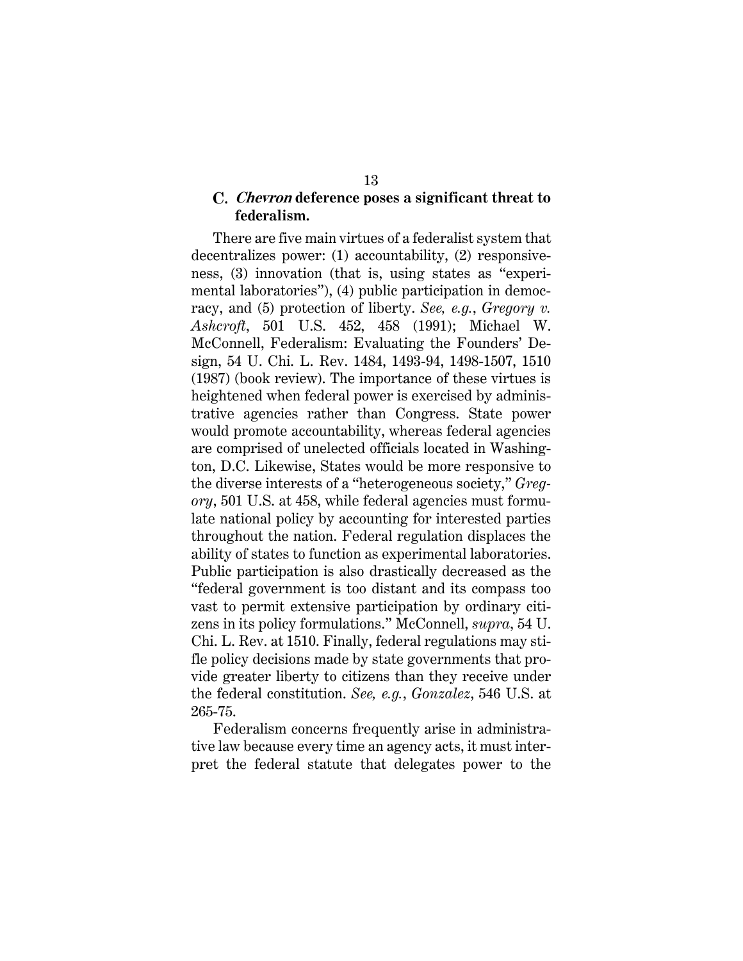## <span id="page-20-2"></span><span id="page-20-1"></span>**Chevron deference poses a significant threat to federalism.**

There are five main virtues of a federalist system that decentralizes power: (1) accountability, (2) responsiveness, (3) innovation (that is, using states as "experimental laboratories"), (4) public participation in democracy, and (5) protection of liberty. *See, e.g.*, *Gregory v. Ashcroft*, 501 U.S. 452, 458 (1991); Michael W. McConnell, Federalism: Evaluating the Founders' Design, 54 U. Chi. L. Rev. 1484, 1493-94, 1498-1507, 1510 (1987) (book review). The importance of these virtues is heightened when federal power is exercised by administrative agencies rather than Congress. State power would promote accountability, whereas federal agencies are comprised of unelected officials located in Washington, D.C. Likewise, States would be more responsive to the diverse interests of a "heterogeneous society," *Gregory*, 501 U.S. at 458, while federal agencies must formulate national policy by accounting for interested parties throughout the nation. Federal regulation displaces the ability of states to function as experimental laboratories. Public participation is also drastically decreased as the "federal government is too distant and its compass too vast to permit extensive participation by ordinary citizens in its policy formulations." McConnell, *supra*, 54 U. Chi. L. Rev. at 1510. Finally, federal regulations may stifle policy decisions made by state governments that provide greater liberty to citizens than they receive under the federal constitution. *See, e.g.*, *Gonzalez*, 546 U.S. at 265-75.

<span id="page-20-0"></span>Federalism concerns frequently arise in administrative law because every time an agency acts, it must interpret the federal statute that delegates power to the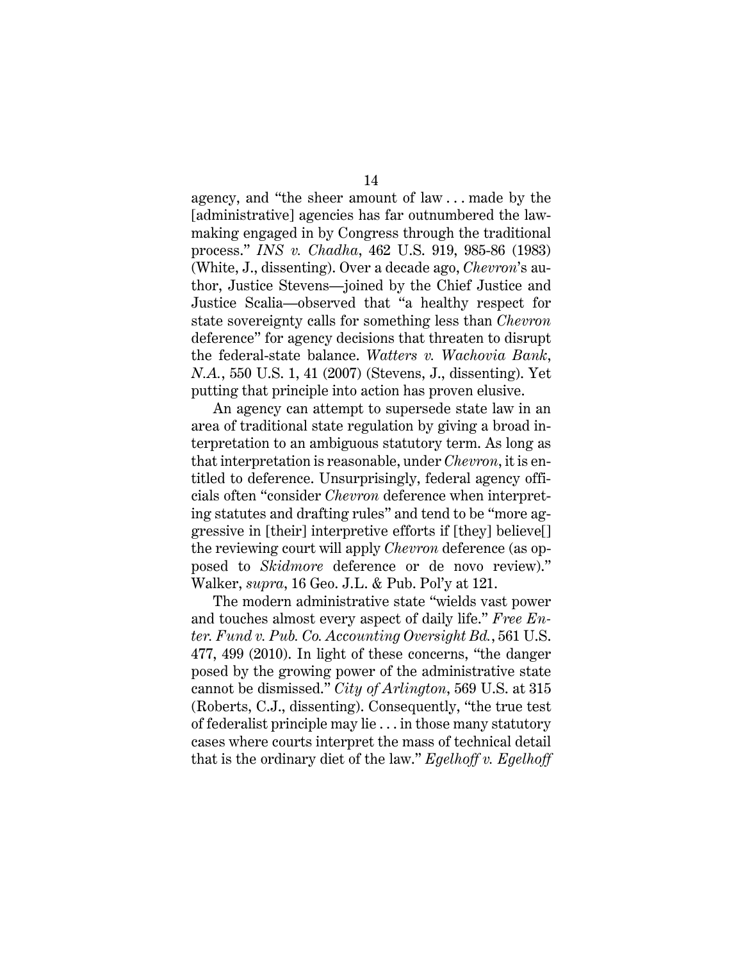<span id="page-21-3"></span>agency, and "the sheer amount of law . . . made by the [administrative] agencies has far outnumbered the lawmaking engaged in by Congress through the traditional process." *INS v. Chadha*, 462 U.S. 919, 985-86 (1983) (White, J., dissenting). Over a decade ago, *Chevron*'s author, Justice Stevens—joined by the Chief Justice and Justice Scalia—observed that "a healthy respect for state sovereignty calls for something less than *Chevron* deference" for agency decisions that threaten to disrupt the federal-state balance. *Watters v. Wachovia Bank*, *N.A.*, 550 U.S. 1, 41 (2007) (Stevens, J., dissenting). Yet putting that principle into action has proven elusive.

<span id="page-21-4"></span>An agency can attempt to supersede state law in an area of traditional state regulation by giving a broad interpretation to an ambiguous statutory term. As long as that interpretation is reasonable, under *Chevron*, it is entitled to deference. Unsurprisingly, federal agency officials often "consider *Chevron* deference when interpreting statutes and drafting rules" and tend to be "more aggressive in [their] interpretive efforts if [they] believe[] the reviewing court will apply *Chevron* deference (as opposed to *Skidmore* deference or de novo review)." Walker, *supra*, 16 Geo. J.L. & Pub. Pol'y at 121.

<span id="page-21-5"></span><span id="page-21-2"></span><span id="page-21-1"></span><span id="page-21-0"></span>The modern administrative state "wields vast power and touches almost every aspect of daily life." *Free Enter. Fund v. Pub. Co. Accounting Oversight Bd.*, 561 U.S. 477, 499 (2010). In light of these concerns, "the danger posed by the growing power of the administrative state cannot be dismissed." *City of Arlington*, 569 U.S. at 315 (Roberts, C.J., dissenting). Consequently, "the true test of federalist principle may lie . . . in those many statutory cases where courts interpret the mass of technical detail that is the ordinary diet of the law." *Egelhoff v. Egelhoff*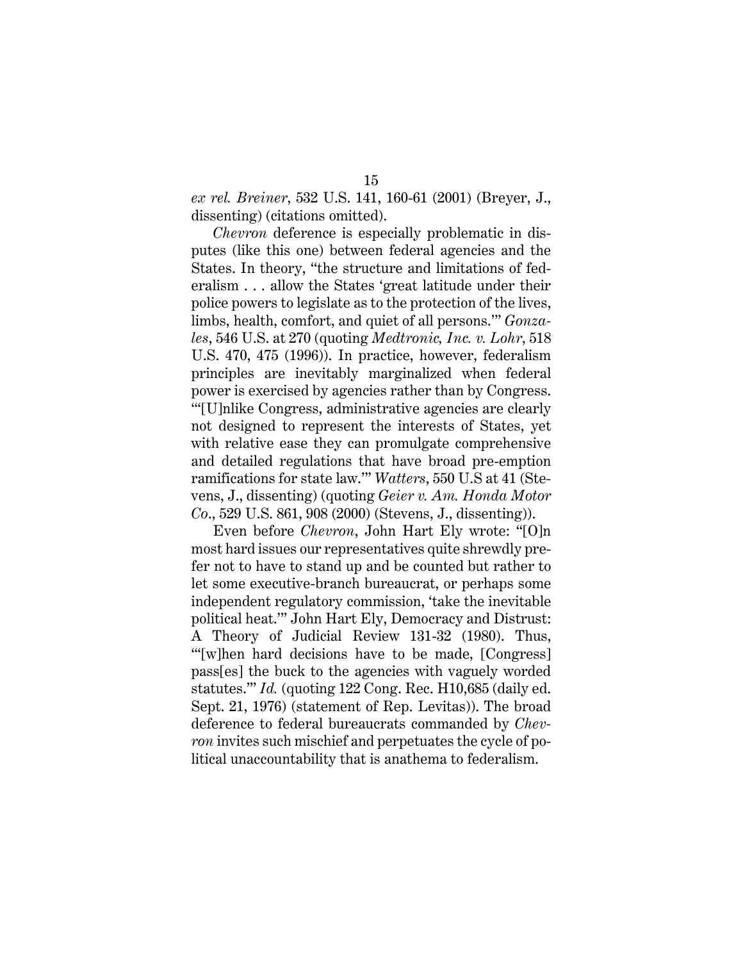*ex rel. Breiner*, 532 U.S. 141, 160-61 (2001) (Breyer, J., dissenting) (citations omitted).

<span id="page-22-2"></span><span id="page-22-1"></span>*Chevron* deference is especially problematic in disputes (like this one) between federal agencies and the States. In theory, "the structure and limitations of federalism . . . allow the States 'great latitude under their police powers to legislate as to the protection of the lives, limbs, health, comfort, and quiet of all persons.'" *Gonzales*, 546 U.S. at 270 (quoting *Medtronic, Inc. v. Lohr*, 518 U.S. 470, 475 (1996)). In practice, however, federalism principles are inevitably marginalized when federal power is exercised by agencies rather than by Congress. "'[U]nlike Congress, administrative agencies are clearly not designed to represent the interests of States, yet with relative ease they can promulgate comprehensive and detailed regulations that have broad pre-emption ramifications for state law.'" *Watters*, 550 U.S at 41 (Stevens, J., dissenting) (quoting *Geier v. Am. Honda Motor Co*., 529 U.S. 861, 908 (2000) (Stevens, J., dissenting)).

<span id="page-22-5"></span><span id="page-22-4"></span><span id="page-22-3"></span><span id="page-22-0"></span>Even before *Chevron*, John Hart Ely wrote: "[O]n most hard issues our representatives quite shrewdly prefer not to have to stand up and be counted but rather to let some executive-branch bureaucrat, or perhaps some independent regulatory commission, 'take the inevitable political heat.'" John Hart Ely, Democracy and Distrust: A Theory of Judicial Review 131-32 (1980). Thus, "[w]hen hard decisions have to be made, [Congress] pass[es] the buck to the agencies with vaguely worded statutes."' *Id.* (quoting 122 Cong. Rec. H10,685 (daily ed. Sept. 21, 1976) (statement of Rep. Levitas)). The broad deference to federal bureaucrats commanded by *Chevron* invites such mischief and perpetuates the cycle of political unaccountability that is anathema to federalism.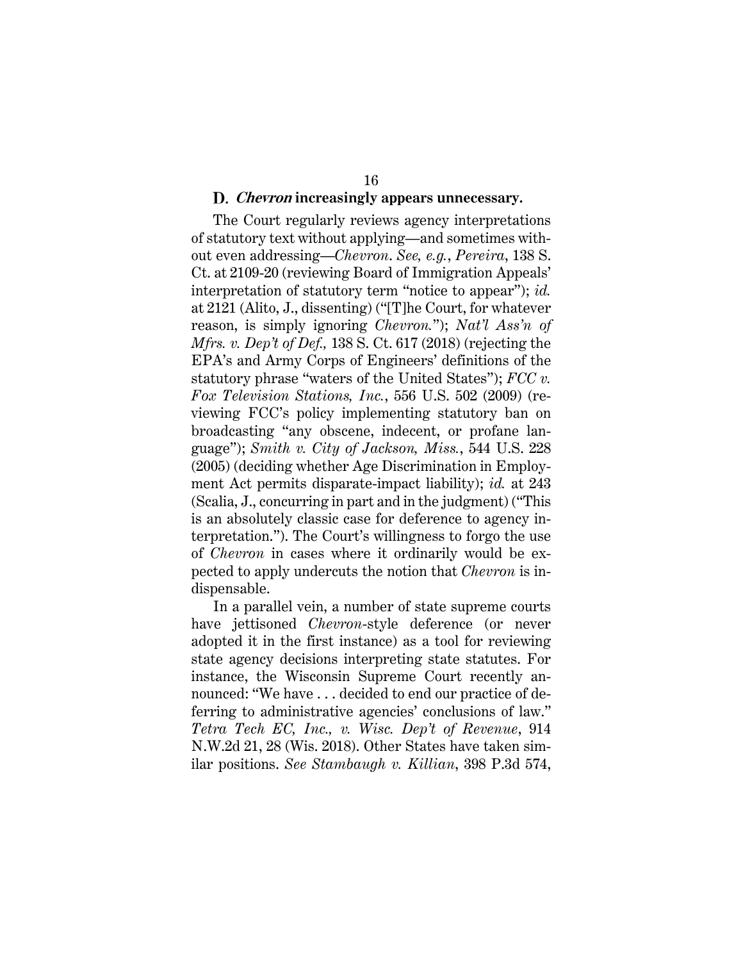#### <span id="page-23-2"></span><span id="page-23-1"></span><span id="page-23-0"></span>**Chevron increasingly appears unnecessary.**

The Court regularly reviews agency interpretations of statutory text without applying—and sometimes without even addressing—*Chevron*. *See, e.g.*, *Pereira*, 138 S. Ct. at 2109-20 (reviewing Board of Immigration Appeals' interpretation of statutory term "notice to appear"); *id.* at 2121 (Alito, J., dissenting) ("[T]he Court, for whatever reason, is simply ignoring *Chevron.*"); *Nat'l Ass'n of Mfrs. v. Dep't of Def.,* 138 S. Ct. 617 (2018) (rejecting the EPA's and Army Corps of Engineers' definitions of the statutory phrase "waters of the United States"); *FCC v. Fox Television Stations, Inc.*, 556 U.S. 502 (2009) (reviewing FCC's policy implementing statutory ban on broadcasting "any obscene, indecent, or profane language"); *Smith v. City of Jackson, Miss.*, 544 U.S. 228 (2005) (deciding whether Age Discrimination in Employment Act permits disparate-impact liability); *id.* at 243 (Scalia, J., concurring in part and in the judgment) ("This is an absolutely classic case for deference to agency interpretation."). The Court's willingness to forgo the use of *Chevron* in cases where it ordinarily would be expected to apply undercuts the notion that *Chevron* is indispensable.

<span id="page-23-5"></span><span id="page-23-4"></span><span id="page-23-3"></span>In a parallel vein, a number of state supreme courts have jettisoned *Chevron*-style deference (or never adopted it in the first instance) as a tool for reviewing state agency decisions interpreting state statutes. For instance, the Wisconsin Supreme Court recently announced: "We have . . . decided to end our practice of deferring to administrative agencies' conclusions of law." *Tetra Tech EC, Inc., v. Wisc. Dep't of Revenue*, 914 N.W.2d 21, 28 (Wis. 2018). Other States have taken similar positions. *See Stambaugh v. Killian*, 398 P.3d 574,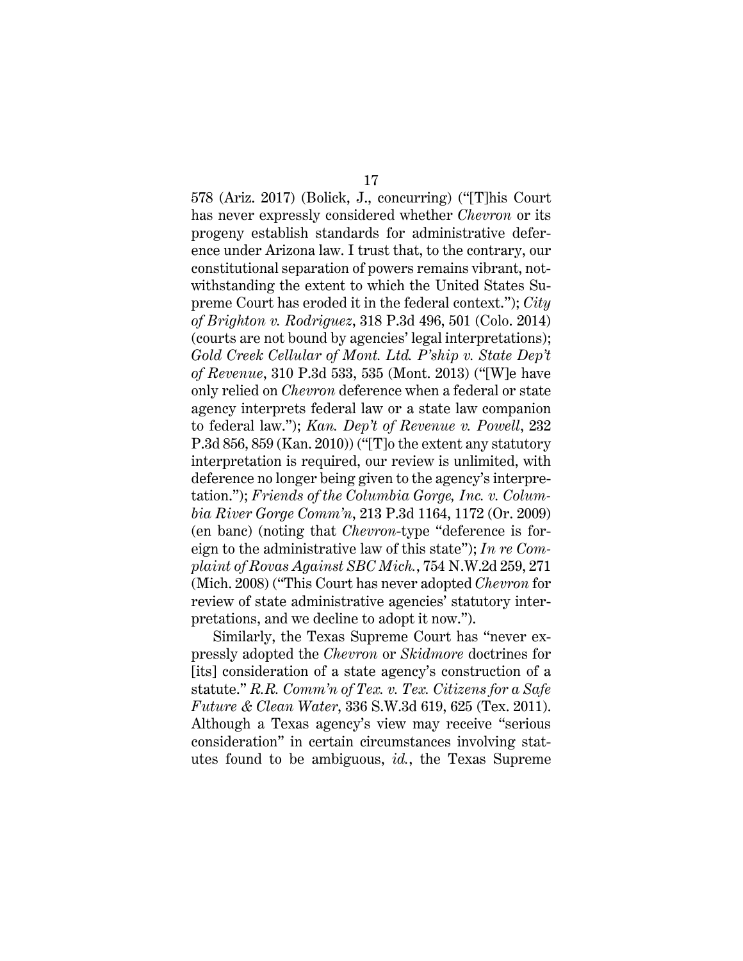<span id="page-24-2"></span><span id="page-24-0"></span>578 (Ariz. 2017) (Bolick, J., concurring) ("[T]his Court has never expressly considered whether *Chevron* or its progeny establish standards for administrative deference under Arizona law. I trust that, to the contrary, our constitutional separation of powers remains vibrant, notwithstanding the extent to which the United States Supreme Court has eroded it in the federal context."); *City of Brighton v. Rodriguez*, 318 P.3d 496, 501 (Colo. 2014) (courts are not bound by agencies' legal interpretations); *Gold Creek Cellular of Mont. Ltd. P'ship v. State Dep't of Revenue*, 310 P.3d 533, 535 (Mont. 2013) ("[W]e have only relied on *Chevron* deference when a federal or state agency interprets federal law or a state law companion to federal law."); *Kan. Dep't of Revenue v. Powell*, 232 P.3d 856, 859 (Kan. 2010)) ("[T]o the extent any statutory interpretation is required, our review is unlimited, with deference no longer being given to the agency's interpretation."); *Friends of the Columbia Gorge, Inc. v. Columbia River Gorge Comm'n*, 213 P.3d 1164, 1172 (Or. 2009) (en banc) (noting that *Chevron*-type "deference is foreign to the administrative law of this state"); *In re Complaint of Rovas Against SBC Mich.*, 754 N.W.2d 259, 271 (Mich. 2008) ("This Court has never adopted *Chevron* for review of state administrative agencies' statutory interpretations, and we decline to adopt it now.").

<span id="page-24-5"></span><span id="page-24-4"></span><span id="page-24-3"></span><span id="page-24-1"></span>Similarly, the Texas Supreme Court has "never expressly adopted the *Chevron* or *Skidmore* doctrines for [its] consideration of a state agency's construction of a statute." *R.R. Comm'n of Tex. v. Tex. Citizens for a Safe Future & Clean Water*, 336 S.W.3d 619, 625 (Tex. 2011). Although a Texas agency's view may receive "serious consideration" in certain circumstances involving statutes found to be ambiguous, *id.*, the Texas Supreme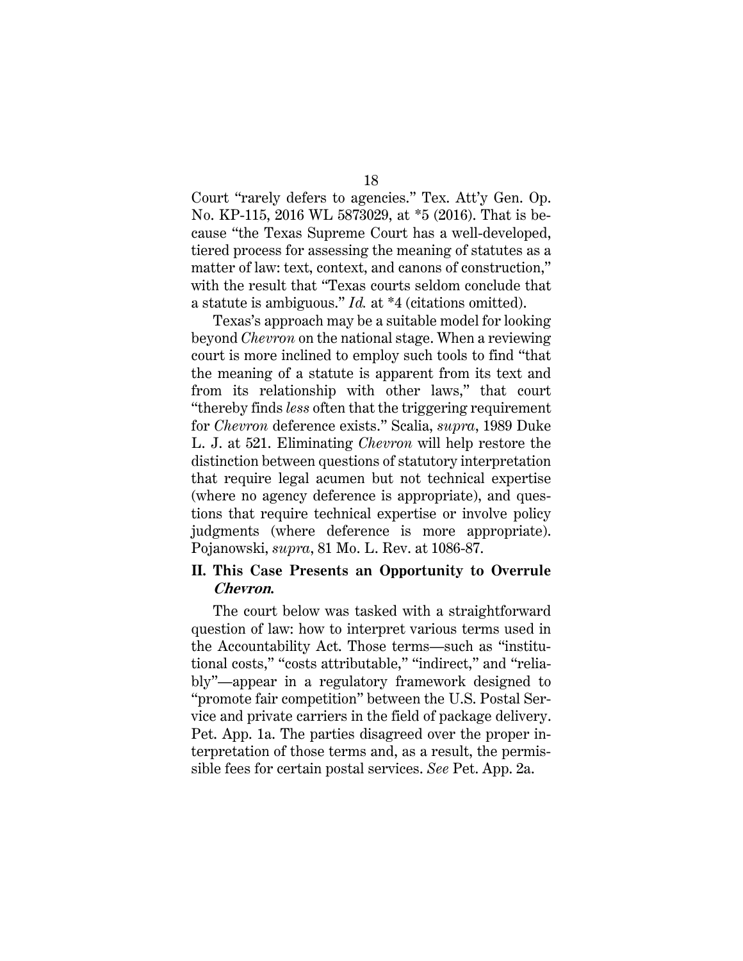<span id="page-25-2"></span><span id="page-25-1"></span>18

Court "rarely defers to agencies." Tex. Att'y Gen. Op. No. KP-115, 2016 WL 5873029, at \*5 (2016). That is because "the Texas Supreme Court has a well-developed, tiered process for assessing the meaning of statutes as a matter of law: text, context, and canons of construction," with the result that "Texas courts seldom conclude that a statute is ambiguous." *Id.* at \*4 (citations omitted).

Texas's approach may be a suitable model for looking beyond *Chevron* on the national stage. When a reviewing court is more inclined to employ such tools to find "that the meaning of a statute is apparent from its text and from its relationship with other laws," that court "thereby finds *less* often that the triggering requirement for *Chevron* deference exists." Scalia, *supra*, 1989 Duke L. J. at 521. Eliminating *Chevron* will help restore the distinction between questions of statutory interpretation that require legal acumen but not technical expertise (where no agency deference is appropriate), and questions that require technical expertise or involve policy judgments (where deference is more appropriate). Pojanowski, *supra*, 81 Mo. L. Rev. at 1086-87.

# <span id="page-25-0"></span>**II. This Case Presents an Opportunity to Overrule Chevron.**

The court below was tasked with a straightforward question of law: how to interpret various terms used in the Accountability Act. Those terms—such as "institutional costs," "costs attributable," "indirect," and "reliably"—appear in a regulatory framework designed to "promote fair competition" between the U.S. Postal Service and private carriers in the field of package delivery. Pet. App. 1a. The parties disagreed over the proper interpretation of those terms and, as a result, the permissible fees for certain postal services. *See* Pet. App. 2a.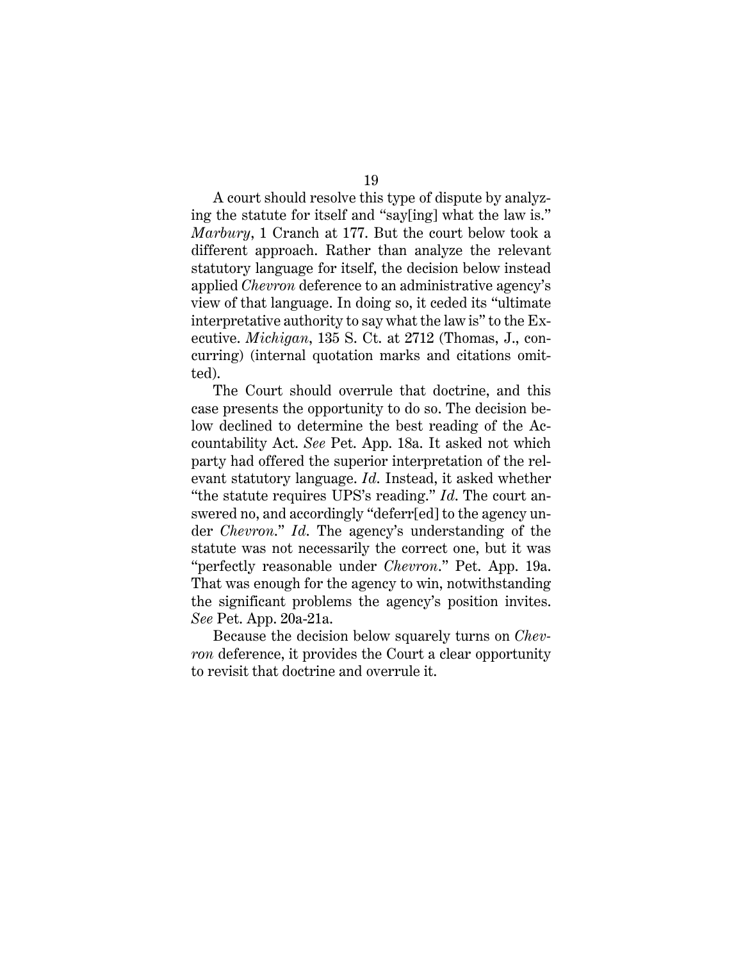<span id="page-26-0"></span>A court should resolve this type of dispute by analyzing the statute for itself and "say[ing] what the law is." *Marbury*, 1 Cranch at 177. But the court below took a different approach. Rather than analyze the relevant statutory language for itself, the decision below instead applied *Chevron* deference to an administrative agency's view of that language. In doing so, it ceded its "ultimate interpretative authority to say what the law is" to the Executive. *Michigan*, 135 S. Ct. at 2712 (Thomas, J., concurring) (internal quotation marks and citations omitted).

<span id="page-26-1"></span>The Court should overrule that doctrine, and this case presents the opportunity to do so. The decision below declined to determine the best reading of the Accountability Act. *See* Pet. App. 18a. It asked not which party had offered the superior interpretation of the relevant statutory language. *Id*. Instead, it asked whether "the statute requires UPS's reading." *Id*. The court answered no, and accordingly "deferr[ed] to the agency under *Chevron*." *Id*. The agency's understanding of the statute was not necessarily the correct one, but it was "perfectly reasonable under *Chevron*." Pet. App. 19a. That was enough for the agency to win, notwithstanding the significant problems the agency's position invites. *See* Pet. App. 20a-21a.

Because the decision below squarely turns on *Chevron* deference, it provides the Court a clear opportunity to revisit that doctrine and overrule it.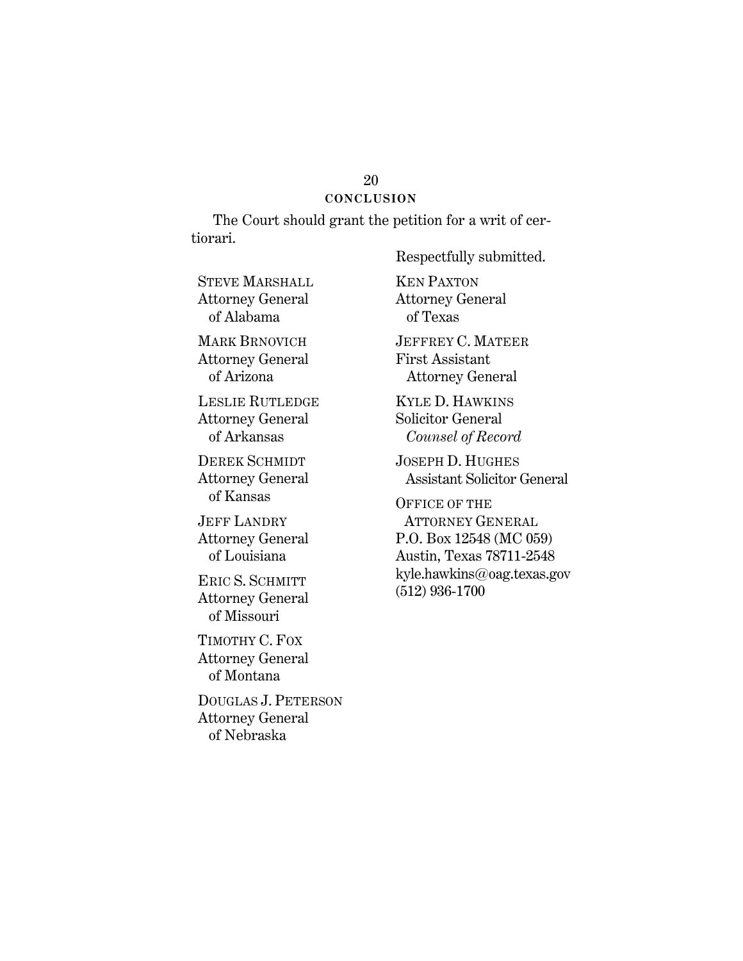#### 20 **CONCLUSION**

The Court should grant the petition for a writ of certiorari.

STEVE MARSHALL Attorney General of Alabama

MARK BRNOVICH Attorney General of Arizona

LESLIE RUTLEDGE Attorney General of Arkansas

DEREK SCHMIDT Attorney General of Kansas

JEFF LANDRY Attorney General of Louisiana

ERIC S. SCHMITT Attorney General of Missouri

TIMOTHY C. FOX Attorney General of Montana

DOUGLAS J. PETERSON Attorney General of Nebraska

Respectfully submitted.

KEN PAXTON Attorney General of Texas

JEFFREY C. MATEER First Assistant Attorney General

KYLE D. HAWKINS Solicitor General  *Counsel of Record*

JOSEPH D. HUGHES Assistant Solicitor General

OFFICE OF THE ATTORNEY GENERAL P.O. Box 12548 (MC 059) Austin, Texas 78711-2548 kyle.hawkins@oag.texas.gov (512) 936-1700